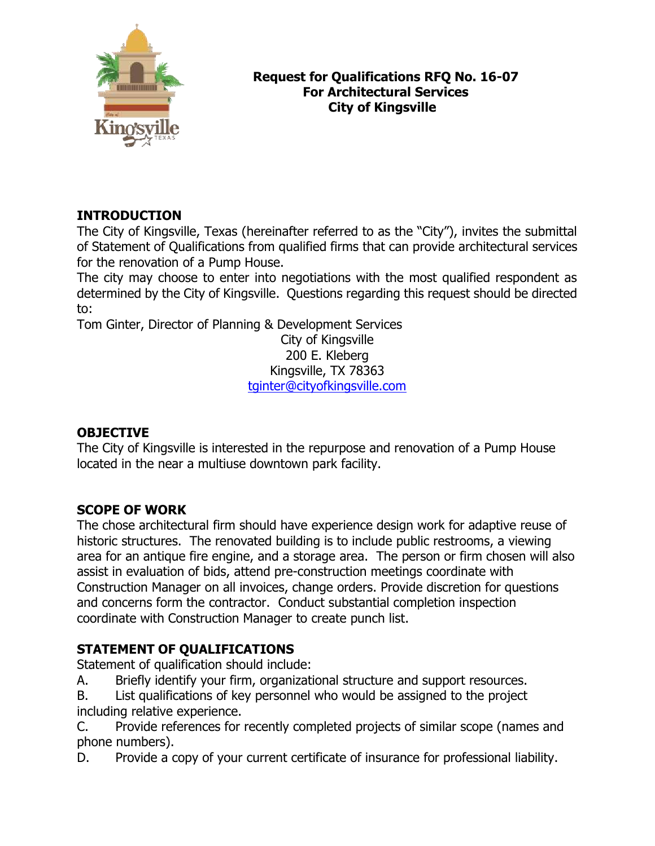

#### **Request for Qualifications RFQ No. 16-07 For Architectural Services City of Kingsville**

# **INTRODUCTION**

The City of Kingsville, Texas (hereinafter referred to as the "City"), invites the submittal of Statement of Qualifications from qualified firms that can provide architectural services for the renovation of a Pump House.

The city may choose to enter into negotiations with the most qualified respondent as determined by the City of Kingsville. Questions regarding this request should be directed to:

Tom Ginter, Director of Planning & Development Services

City of Kingsville 200 E. Kleberg Kingsville, TX 78363 [tginter@cityofkingsville.com](mailto:tginter@cityofkingsville.com)

## **OBJECTIVE**

The City of Kingsville is interested in the repurpose and renovation of a Pump House located in the near a multiuse downtown park facility.

## **SCOPE OF WORK**

The chose architectural firm should have experience design work for adaptive reuse of historic structures. The renovated building is to include public restrooms, a viewing area for an antique fire engine, and a storage area. The person or firm chosen will also assist in evaluation of bids, attend pre-construction meetings coordinate with Construction Manager on all invoices, change orders. Provide discretion for questions and concerns form the contractor. Conduct substantial completion inspection coordinate with Construction Manager to create punch list.

## **STATEMENT OF QUALIFICATIONS**

Statement of qualification should include:

- A. Briefly identify your firm, organizational structure and support resources.
- B. List qualifications of key personnel who would be assigned to the project including relative experience.

C. Provide references for recently completed projects of similar scope (names and phone numbers).

D. Provide a copy of your current certificate of insurance for professional liability.